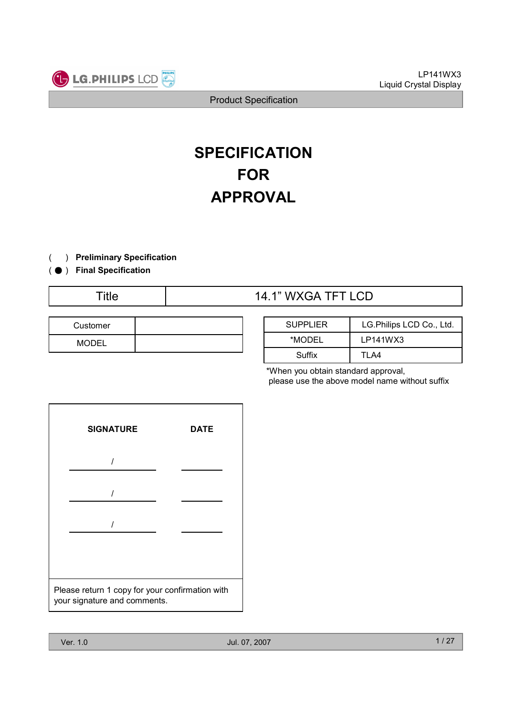

# **SPECIFICATION** FOR APPROVAL

- ) Preliminary Specification(
- ( ) Final Specification

# Title  $14.1$ " WXGA TFT LCD

| Customer     |  |
|--------------|--|
| <b>MODEL</b> |  |

| <b>SUPPLIER</b> | LG. Philips LCD Co., Ltd. |  |  |  |  |  |  |  |
|-----------------|---------------------------|--|--|--|--|--|--|--|
| *MODEL          | LP141WX3                  |  |  |  |  |  |  |  |
| Suffix          | TI A4                     |  |  |  |  |  |  |  |

\*When you obtain standard approval, please use the above model name without suffix

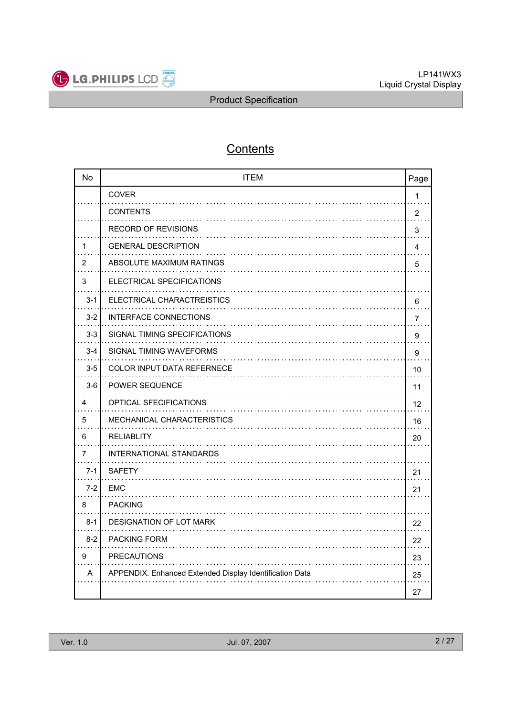

# **Contents**

| <b>No</b> | <b>ITEM</b>                                             | Page           |
|-----------|---------------------------------------------------------|----------------|
|           | <b>COVER</b>                                            | 1              |
|           | <b>CONTENTS</b>                                         | $\overline{2}$ |
|           | <b>RECORD OF REVISIONS</b>                              | 3              |
| 1         | <b>GENERAL DESCRIPTION</b>                              | 4              |
| 2         | ABSOLUTE MAXIMUM RATINGS                                | 5              |
| 3         | ELECTRICAL SPECIFICATIONS                               |                |
| $3 - 1$   | ELECTRICAL CHARACTREISTICS                              | 6              |
| $3 - 2$   | <b>INTERFACE CONNECTIONS</b>                            | $\overline{7}$ |
| $3 - 3$   | SIGNAL TIMING SPECIFICATIONS                            | 9              |
| $3 - 4$   | SIGNAL TIMING WAVEFORMS                                 | 9              |
| $3-5$     | <b>COLOR INPUT DATA REFERNECE</b>                       | 10             |
| $3-6$     | <b>POWER SEQUENCE</b>                                   | 11             |
| 4         | OPTICAL SFECIFICATIONS                                  | 12             |
| 5         | <b>MECHANICAL CHARACTERISTICS</b>                       | 16             |
| 6         | <b>RELIABLITY</b>                                       | 20             |
| 7         | INTERNATIONAL STANDARDS                                 |                |
| $7 - 1$   | <b>SAFETY</b>                                           | 21             |
| $7 - 2$   | <b>EMC</b>                                              | 21             |
| 8         | <b>PACKING</b>                                          |                |
| $8 - 1$   | DESIGNATION OF LOT MARK                                 | 22             |
| $8-2$     | <b>PACKING FORM</b>                                     | 22             |
| 9         | <b>PRECAUTIONS</b>                                      | 23             |
| A         | APPENDIX. Enhanced Extended Display Identification Data | 25             |
|           |                                                         | 27             |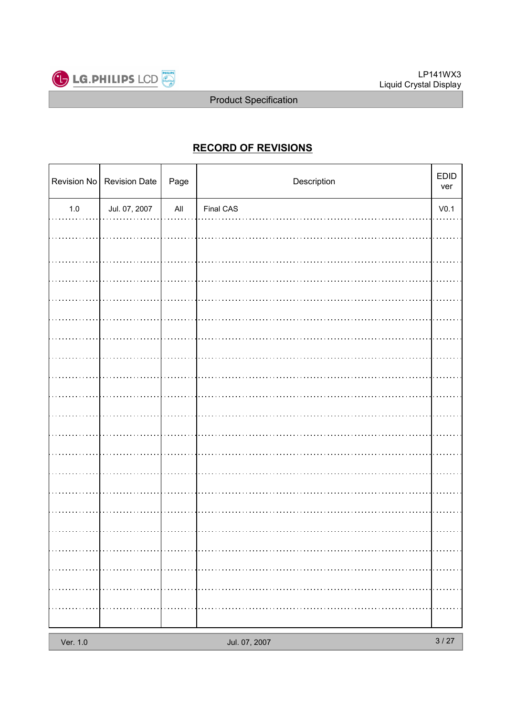

# RECORD OF REVISIONS

|          | Revision No   Revision Date | Page           | Description   | $\mathsf{EDID}$<br>ver |
|----------|-----------------------------|----------------|---------------|------------------------|
| $1.0\,$  | Jul. 07, 2007               | $\mathsf{All}$ | Final CAS     | V <sub>0.1</sub>       |
|          |                             |                |               |                        |
|          |                             |                |               |                        |
|          |                             |                |               |                        |
|          |                             |                |               |                        |
|          |                             |                |               |                        |
|          |                             |                |               |                        |
|          |                             |                |               |                        |
|          |                             |                |               |                        |
|          |                             |                |               |                        |
|          |                             |                |               |                        |
|          |                             |                |               |                        |
|          |                             |                |               |                        |
|          |                             |                |               |                        |
|          |                             |                |               |                        |
|          |                             |                |               |                        |
|          |                             |                |               |                        |
|          |                             |                |               |                        |
|          |                             |                |               |                        |
|          |                             |                |               |                        |
|          |                             |                |               |                        |
| Ver. 1.0 |                             |                | Jul. 07, 2007 | $3/27$                 |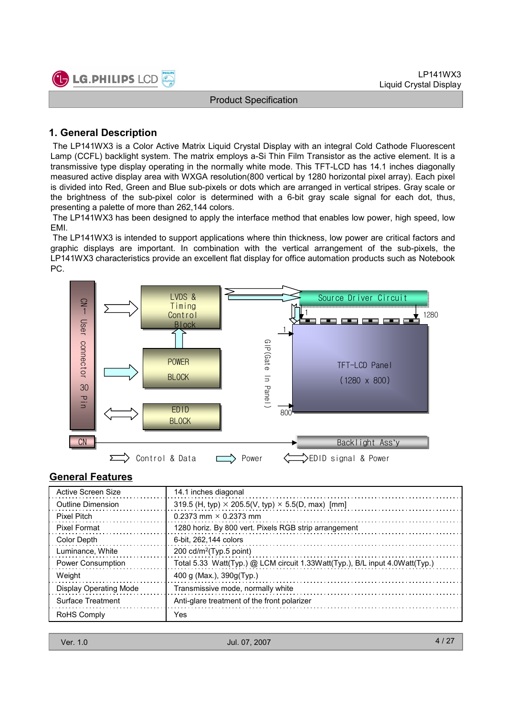

### 1. General Description

The LP141WX3 is a Color Active Matrix Liquid Crystal Display with an integral Cold Cathode Fluorescent Lamp (CCFL) backlight system. The matrix employs a-Si Thin Film Transistor as the active element. It is a transmissive type display operating in the normally white mode. This TFT-LCD has 14.1 inches diagonally measured active display area with WXGA resolution(800 vertical by 1280 horizontal pixel array). Each pixel is divided into Red, Green and Blue sub-pixels or dots which are arranged in vertical stripes. Gray scale or the brightness of the sub-pixel color is determined with a 6-bit gray scale signal for each dot, thus, presenting a palette of more than 262,144 colors.

The LP141WX3 has been designed to apply the interface method that enables low power, high speed, low EMI.

The LP141WX3 is intended to support applications where thin thickness, low power are critical factors and graphic displays are important. In combination with the vertical arrangement of the sub-pixels, the LP141WX3 characteristics provide an excellent flat display for office automation products such as Notebook PC.



#### General Features

| Active Screen Size            | 14.1 inches diagonal                                                        |
|-------------------------------|-----------------------------------------------------------------------------|
| <b>Outline Dimension</b>      | 319.5 (H, typ) $\times$ 205.5(V, typ) $\times$ 5.5(D, max) [mm]             |
| <b>Pixel Pitch</b>            | $0.2373$ mm $\times$ 0.2373 mm                                              |
| <b>Pixel Format</b>           | 1280 horiz. By 800 vert. Pixels RGB strip arrangement                       |
| Color Depth                   | 6-bit. 262.144 colors                                                       |
| Luminance, White              | 200 $cd/m^2$ (Typ.5 point)                                                  |
| <b>Power Consumption</b>      | Total 5.33 Watt(Typ.) @ LCM circuit 1.33Watt(Typ.), B/L input 4.0Watt(Typ.) |
| Weight                        | 400 g (Max.), $390g(Typ.)$                                                  |
| <b>Display Operating Mode</b> | Transmissive mode, normally white                                           |
| Surface Treatment             | Anti-glare treatment of the front polarizer                                 |
| <b>RoHS Comply</b>            | Yes                                                                         |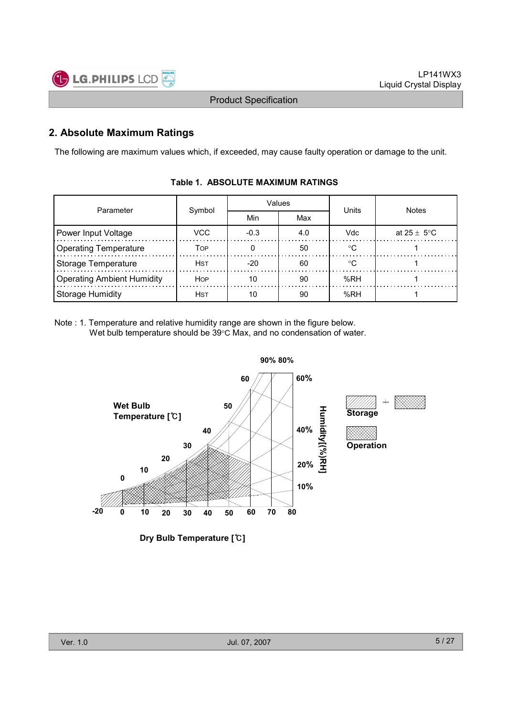

### 2. Absolute Maximum Ratings

The following are maximum values which, if exceeded, may cause faulty operation or damage to the unit.

| Parameter                         | Symbol      |        | Values | Units      | <b>Notes</b>    |  |  |
|-----------------------------------|-------------|--------|--------|------------|-----------------|--|--|
|                                   |             | Min    | Max    |            |                 |  |  |
| Power Input Voltage               | VCC         | $-0.3$ | 4.0    | <b>Vdc</b> | at 25 $\pm$ 5°C |  |  |
| <b>Operating Temperature</b>      | Тор         |        | 50     | $\circ$    |                 |  |  |
| <b>Storage Temperature</b>        | Hst         | $-20$  | 60     | ം          |                 |  |  |
| <b>Operating Ambient Humidity</b> | <b>HOP</b>  | 10     | 90     | %RH        |                 |  |  |
| <b>Storage Humidity</b>           | <b>H</b> st | 10     | 90     | %RH        |                 |  |  |

### Table 1. ABSOLUTE MAXIMUM RATINGS

Note : 1. Temperature and relative humidity range are shown in the figure below. Wet bulb temperature should be 39°C Max, and no condensation of water.



Dry Bulb Temperature [℃]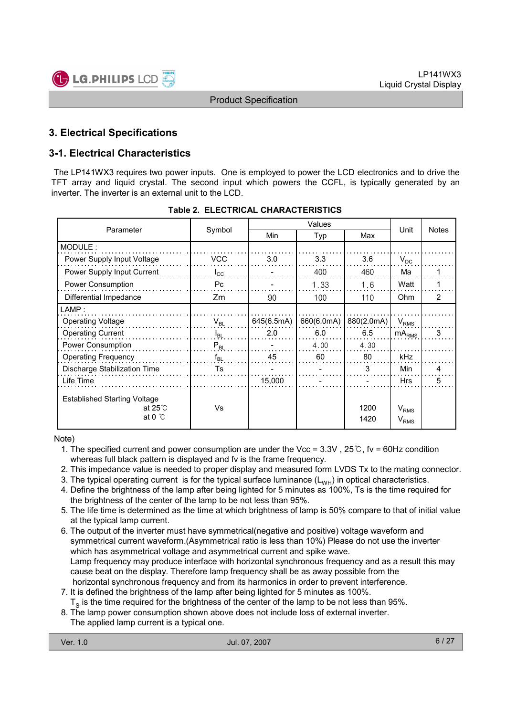

### 3. Electrical Specifications

### 3-1. Electrical Characteristics

The LP141WX3 requires two power inputs. One is employed to power the LCD electronics and to drive the TFT array and liquid crystal. The second input which powers the CCFL, is typically generated by an inverter. The inverter is an external unit to the LCD.

| Parameter                                                                   | Symbol       | Min        | Typ        | Max          | Unit                                 | <b>Notes</b> |  |
|-----------------------------------------------------------------------------|--------------|------------|------------|--------------|--------------------------------------|--------------|--|
| MODULE:                                                                     |              |            |            |              |                                      |              |  |
| Power Supply Input Voltage                                                  | <b>VCC</b>   | 3.0        | 3.3        | 3.6          | $V_{DC}$                             |              |  |
| Power Supply Input Current                                                  | $I_{\rm CC}$ |            | 400        | 460          | Ma                                   |              |  |
| Power Consumption                                                           | Pc.          |            | 1.33       | 1.6          | Watt                                 |              |  |
| Differential Impedance                                                      | Zm           | 90         | 100        | 110          | Ohm                                  | 2            |  |
| $\mathsf{LAMP}$ :                                                           |              |            |            |              |                                      |              |  |
| <b>Operating Voltage</b>                                                    | $V_{BL}$     | 645(6.5mA) | 660(6.0mA) | 880(2.0mA)   | $V_{RMS}$                            |              |  |
| <b>Operating Current</b>                                                    | $I_{BL}$     | 2.0        | 6.0        | 6.5          | $mA_{\rm RMS}$                       | 3            |  |
| Power Consumption                                                           | $P_{BL}$     |            | 4.00       | 4.30         |                                      |              |  |
| <b>Operating Frequency</b>                                                  | $f_{BL}$     | 45         | 60         | 80           | kHz                                  |              |  |
| Discharge Stabilization Time                                                | Ts           |            |            | 3            | Min                                  | 4            |  |
| Life Time                                                                   |              | 15,000     |            |              | <b>Hrs</b>                           | 5            |  |
| <b>Established Starting Voltage</b><br>at $25^\circ$ C<br>at 0 $^{\circ}$ C | Vs           |            |            | 1200<br>1420 | $V_{RMS}$<br><b>V</b> <sub>RMS</sub> |              |  |

#### Table 2. ELECTRICAL CHARACTERISTICS

Note)

- 1. The specified current and power consumption are under the Vcc = 3.3V , 25℃, fv = 60Hz condition whereas full black pattern is displayed and fv is the frame frequency.
- 2. This impedance value is needed to proper display and measured form LVDS Tx to the mating connector.
- 3. The typical operating current is for the typical surface luminance  $(L_{WH})$  in optical characteristics.
- 4. Define the brightness of the lamp after being lighted for 5 minutes as 100%, Ts is the time required for the brightness of the center of the lamp to be not less than 95%.
- 5. The life time is determined as the time at which brightness of lamp is 50% compare to that of initial value at the typical lamp current.
- 6. The output of the inverter must have symmetrical(negative and positive) voltage waveform and symmetrical current waveform.(Asymmetrical ratio is less than 10%) Please do not use the inverter which has asymmetrical voltage and asymmetrical current and spike wave. Lamp frequency may produce interface with horizontal synchronous frequency and as a result this may cause beat on the display. Therefore lamp frequency shall be as away possible from the horizontal synchronous frequency and from its harmonics in order to prevent interference.
- 7. It is defined the brightness of the lamp after being lighted for 5 minutes as 100%.
- ${\tt T_S}$  is the time required for the brightness of the center of the lamp to be not less than 95%.
- 8. The lamp power consumption shown above does not include loss of external inverter.
- The applied lamp current is a typical one.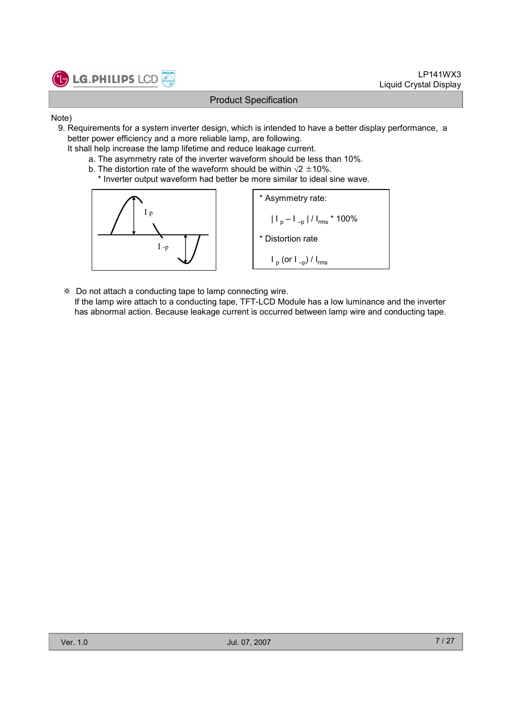

- Note)
	- 9. Requirements for a system inverter design, which is intended to have a better display performance, a better power efficiency and a more reliable lamp, are following.
		- It shall help increase the lamp lifetime and reduce leakage current.
			- a. The asymmetry rate of the inverter waveform should be less than 10%.
			- b. The distortion rate of the waveform should be within  $\sqrt{2} \pm 10\%$ .
				- \* Inverter output waveform had better be more similar to ideal sine wave.



\* Asymmetry rate:  
\n
$$
|I_{p} - I_{-p}| / I_{rms} * 100\%
$$
\n\* Distortion rate  
\n
$$
I_{p} (or I_{-p}) / I_{rms}
$$

- ※ Do not attach a conducting tape to lamp connecting wire.
	- If the lamp wire attach to a conducting tape, TFT-LCD Module has a low luminance and the inverter has abnormal action. Because leakage current is occurred between lamp wire and conducting tape.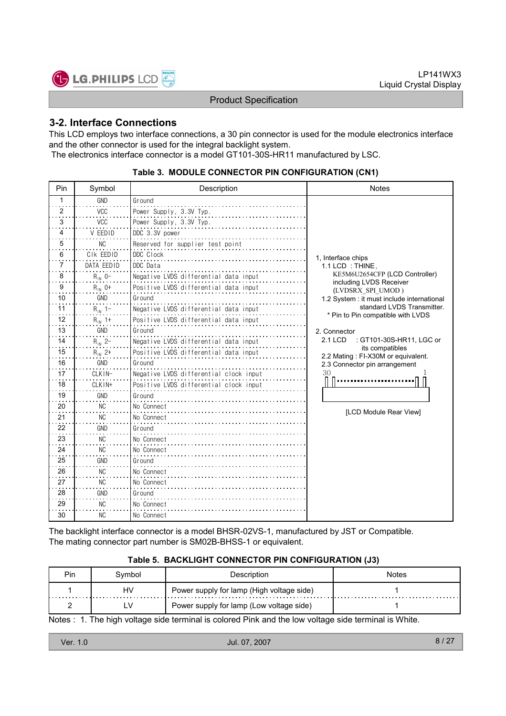

### 3-2. Interface Connections

This LCD employs two interface connections, a 30 pin connector is used for the module electronics interface and the other connector is used for the integral backlight system.

The electronics interface connector is a model GT101-30S-HR11 manufactured by LSC.

| Pin | Symbol         | Description                            | <b>Notes</b>                                                    |
|-----|----------------|----------------------------------------|-----------------------------------------------------------------|
| 1   | <b>GND</b>     | Ground                                 |                                                                 |
| 2   | <b>VCC</b>     | Power Supply, 3.3V Typ.                |                                                                 |
| 3   | <b>VCC</b>     | Power Supply, 3.3V Typ.                |                                                                 |
| 4   | V EEDID        | DDC 3.3V power                         |                                                                 |
| 5   | NC.            | Reserved for supplier test point       |                                                                 |
| 6   | CIK EEDID      | DDC Clock                              | 1. Interface chips                                              |
| 7   | DATA EEDID     | DDC Data                               | 1.1 LCD: THINE.                                                 |
| 8   | $R_{IN}$ 0-    | Negative LVDS differential data input  | KE5M6U2654CFP (LCD Controller)<br>including LVDS Receiver       |
| 9   | $R_{IN}$ 0+    | Positive LVDS differential data input  | (LVDSRX SPI UMOD)                                               |
| 10  | GND            | Ground                                 | 1.2 System : it must include international                      |
| 11  | $R_{1N}$ 1-    | Negative LVDS differential data input  | standard LVDS Transmitter.<br>* Pin to Pin compatible with LVDS |
| 12  | $R_{1N}$ 1+    | Positive LVDS differential data input  |                                                                 |
| 13  | GND            | Ground                                 | 2. Connector                                                    |
| 14  | $R_{1N}$ 2-    | Negative LVDS differential data input  | : GT101-30S-HR11, LGC or<br>2.1 LCD<br>its compatibles          |
| 15  | $R_{1N}$ 2+    | Positive LVDS differential data input  | 2.2 Mating: FI-X30M or equivalent.                              |
| 16  | GND            | Ground                                 | 2.3 Connector pin arrangement                                   |
| 17  | CLKIN-         | Negative LVDS differential clock input | 30                                                              |
| 18  | CLK IN+        | Positive LVDS differential clock input |                                                                 |
| 19  | GND            | Ground                                 |                                                                 |
| 20  | <b>NC</b>      | No Connect                             | [LCD Module Rear View]                                          |
| 21  | NC             | No Connect                             |                                                                 |
| 22  | GND            | Ground                                 |                                                                 |
| 23  | N <sub>C</sub> | No Connect                             |                                                                 |
| 24  | <b>NC</b>      | No Connect                             |                                                                 |
| 25  | <b>GND</b>     | Ground                                 |                                                                 |
| 26  | <b>NC</b>      | No Connect                             |                                                                 |
| 27  | NC.            | No Connect                             |                                                                 |
| 28  | <b>GND</b>     | Ground                                 |                                                                 |
| 29  | NC.            | No Connect                             |                                                                 |
| 30  | NC.            | No Connect                             |                                                                 |

#### Table 3. MODULE CONNECTOR PIN CONFIGURATION (CN1)

The backlight interface connector is a model BHSR-02VS-1, manufactured by JST or Compatible. The mating connector part number is SM02B-BHSS-1 or equivalent.

#### Table 5. BACKLIGHT CONNECTOR PIN CONFIGURATION (J3)

| Pin. | Svmbol | Description                               | Notes |
|------|--------|-------------------------------------------|-------|
|      | HV     | Power supply for lamp (High voltage side) |       |
|      | LV     | Power supply for lamp (Low voltage side)  |       |

Notes : 1. The high voltage side terminal is colored Pink and the low voltage side terminal is White.

| Ver. 1.0 | Jul. 07, 2007 | $\sqrt{2}$<br>8/2 |
|----------|---------------|-------------------|
|          |               |                   |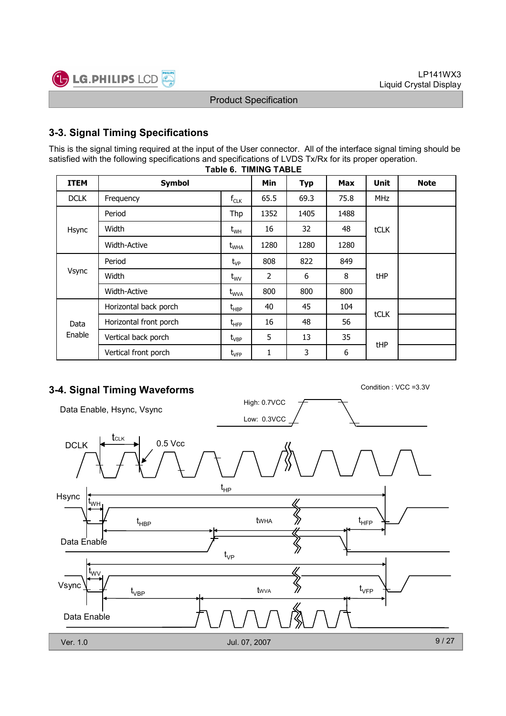



### 3-3. Signal Timing Specifications

This is the signal timing required at the input of the User connector. All of the interface signal timing should be satisfied with the following specifications and specifications of LVDS Tx/Rx for its proper operation.

| <b>ITEM</b> | <b>Symbol</b>          |                                  | <b>Min</b>     | <b>Typ</b> | <b>Max</b> | <b>Unit</b> | <b>Note</b> |
|-------------|------------------------|----------------------------------|----------------|------------|------------|-------------|-------------|
| <b>DCLK</b> | Frequency              | $f_{CLK}$                        | 65.5           | 69.3       | 75.8       | <b>MHz</b>  |             |
| Hsync       | Period                 | Thp                              | 1352           | 1405       | 1488       |             |             |
|             | Width                  | $\rm t_{\rm WH}$                 | 16             | 32         | 48         | tCLK        |             |
|             | Width-Active           | $t_{\text{WHA}}$                 | 1280           | 1280       | 1280       |             |             |
| Vsync       | Period                 | $t_{VP}$                         | 808            | 822        | 849        |             |             |
|             | Width                  | $t_{\text{wV}}$                  | $\overline{2}$ | 6          | 8          | tHP         |             |
|             | <b>Width-Active</b>    | $t_{WVA}$                        | 800            | 800        | 800        |             |             |
|             | Horizontal back porch  | $t_{\scriptscriptstyle \sf HBP}$ | 40             | 45         | 104        | tCLK        |             |
| Data        | Horizontal front porch | $t_{\text{HFP}}$                 | 16             | 48         | 56         |             |             |
| Enable      | Vertical back porch    | $t_{\sf VBP}$                    | 5              | 13         | 35         | tHP         |             |
|             | Vertical front porch   | $t_{\sf VFP}$                    | 1              | 3          | 6          |             |             |

#### Table 6. TIMING TABLE

## 3-4. Signal Timing Waveforms Condition : VCC =3.3V

High: 0.7VCC Data Enable, Hsync, Vsync Low: 0.3VCC tCLK DCLK  $\left| \leftarrow$  CLK 0.5 Vcc  $t_{HP}$ Hsync tWH tWHA  $t_{\text{HBP}}$  twha  $\gg$   $t_{\text{HFP}}$ Data Enable  $t_{\vee P}$ t<sub>wv</sub>  $\bigotimes$ Vsync  $t_{\rm VFP}$ tWVA  $\mathfrak{t}_{\mathsf{VBP}}$ Data Enable Ver. 1.0 Jul. 07, 2007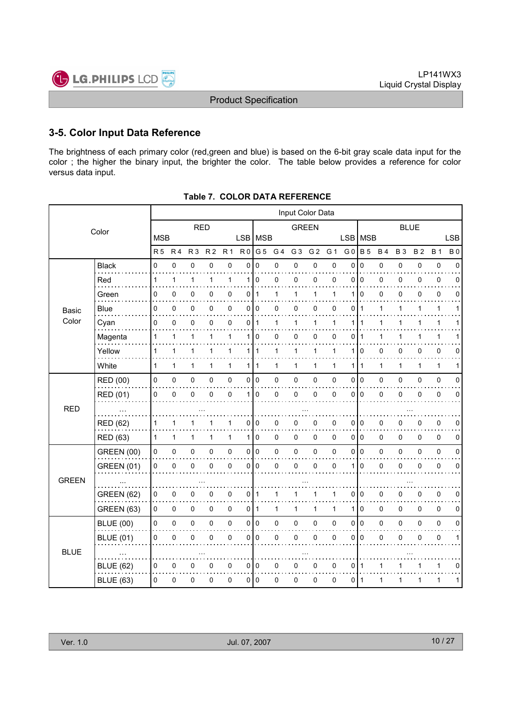

### 3-5. Color Input Data Reference

The brightness of each primary color (red,green and blue) is based on the 6-bit gray scale data input for the color ; the higher the binary input, the brighter the color. The table below provides a reference for color versus data input.

|              | Input Color Data  |                |                |                |                |                     |                |                 |                |                |                |             |                 |                |              |              |           |             |             |
|--------------|-------------------|----------------|----------------|----------------|----------------|---------------------|----------------|-----------------|----------------|----------------|----------------|-------------|-----------------|----------------|--------------|--------------|-----------|-------------|-------------|
|              | Color             | <b>RED</b>     |                |                |                |                     |                | <b>GREEN</b>    |                |                |                | <b>BLUE</b> |                 |                |              |              |           |             |             |
|              |                   | <b>MSB</b>     |                |                |                |                     | LSB   MSB      |                 |                |                |                |             | <b>LSB</b>      | <b>MSB</b>     |              |              |           |             | <b>LSB</b>  |
|              |                   | R <sub>5</sub> | R <sub>4</sub> | R <sub>3</sub> | R <sub>2</sub> | R <sub>1</sub>      | R <sub>0</sub> | G <sub>5</sub>  | G <sub>4</sub> | G <sub>3</sub> | G <sub>2</sub> | G 1         | G <sub>0</sub>  | <b>B</b> 5     | <b>B4</b>    | <b>B3</b>    | <b>B2</b> | <b>B</b> 1  | <b>B</b> 0  |
|              | <b>Black</b><br>. | 0              | 0              | 0              | 0              | 0                   | 0              | 0               | 0              | 0              | 0              | 0           | $\mathbf 0$     | $\mathbf 0$    | 0            | 0            | 0         | 0           | $\Omega$    |
|              | Red               | 1              | 1              | 1              | 1              | $\mathbf{1}$        |                | 110             | 0              | 0              | 0              | 0           | $\mathbf 0$     | $\Omega$       | 0            | 0            | 0         | 0           | $\Omega$    |
|              | Green             | 0              | 0              | 0              | 0              | 0                   | 0              | $\mathbf{1}$    | 1              | 1              | $\mathbf{1}$   | 1           | 1               | $\Omega$       | 0            | 0            | 0         | 0           | $\Omega$    |
| Basic        | <b>Blue</b>       | 0              | 0              | 0              | 0              | 0                   | $\mathsf{o}$   | $\vert$ 0       | 0              | 0              | 0              | 0           | 0               | 1              | 1            | 1            | 1         | 1           | 1           |
| Color        | Cyan              | 0              | 0              | 0              | 0              | 0                   | 0              | $\mathbf 1$     | 1              | 1              | 1              | 1           | 1               | 1              | 1            | 1            |           | 1           |             |
|              | Magenta           | 1              | 1              | 1              | 1              | 1                   | 1              | $\mathbf 0$     | 0              | 0              | 0              | 0           | 0               | 1              | 1            |              |           | 1           |             |
|              | Yellow            | 1              | 1              | 1              | 1              | 1                   |                | 1   1           | $\mathbf{1}$   | 1              | $\mathbf{1}$   | 1           | 1               | 0              | 0            | 0            | 0         | 0           | 0           |
|              | White             | 1              | $\mathbf{1}$   | 1              | $\mathbf{1}$   | $\mathbf{1}$        |                | 111             | $\mathbf{1}$   | $\mathbf{1}$   | $\mathbf{1}$   | 1           | 1               | $\mathbf{1}$   | $\mathbf{1}$ | $\mathbf{1}$ | 1         | 1           | 1           |
|              | <b>RED (00)</b>   | 0              | 0              | 0              | 0              | $\pmb{0}$           |                | 0 0             | 0              | $\pmb{0}$      | $\pmb{0}$      | $\mathbf 0$ | 0               | $\overline{0}$ | 0            | 0            | 0         | $\pmb{0}$   | $\mathbf 0$ |
|              | RED (01)          | 0              | $\mathbf 0$    | 0              | 0              | 0                   | 1 <sup>1</sup> | $\Omega$        | 0              | 0              | 0              | $\mathbf 0$ | 0               | ۱o             | $\mathsf 0$  | $\mathbf 0$  | 0         | 0           | $\Omega$    |
| <b>RED</b>   |                   |                |                |                |                |                     |                |                 |                |                |                |             |                 |                |              |              |           |             |             |
|              | <b>RED (62)</b>   | 1              | 1              | 1              |                | 1                   | 0              | 0               | 0              | 0              | 0              | 0           | 0               | l 0            | 0            | 0            | 0         | 0           | 0           |
|              | <b>RED (63)</b>   | 1              | $\mathbf{1}$   | 1              | $\mathbf{1}$   | $\mathbf{1}$        |                | 110             | 0              | 0              | 0              | 0           | 0 <sup>10</sup> |                | 0            | 0            | 0         | 0           | 0           |
|              | <b>GREEN (00)</b> | 0              | 0              | $\pmb{0}$      | 0              | $\mathsf{O}\xspace$ |                | 0 0             | 0              | $\pmb{0}$      | 0              | 0           | 0               | I٥             | 0            | 0            | 0         | $\pmb{0}$   | $\mathbf 0$ |
|              | <b>GREEN (01)</b> | 0              | $\mathbf 0$    | 0              | 0              | 0                   | $\overline{0}$ | l O             | 0              | 0              | 0              | $\mathbf 0$ | 1               | $\mathbf 0$    | 0            | $\mathbf 0$  | 0         | 0           | $\mathbf 0$ |
| <b>GREEN</b> |                   |                |                |                |                |                     |                |                 |                |                |                |             |                 |                |              |              |           |             |             |
|              | <b>GREEN (62)</b> | $\pmb{0}$      | 0              | 0              | 0              | 0                   | 0              | $\mathbf 1$     | 1              |                | 1              | 1           | 0               | 0              | 0            | 0            | 0         | 0           | 0           |
|              | <b>GREEN (63)</b> | 0              | 0              | $\pmb{0}$      | 0              | $\mathsf{O}\xspace$ | $0$   1        |                 | 1              | $\mathbf{1}$   | 1              | 1           | 1               | $\mathbf 0$    | $\pmb{0}$    | 0            | 0         | $\mathbf 0$ | 0           |
|              | <b>BLUE (00)</b>  | 0              | 0              | $\pmb{0}$      | 0              | $\mathsf 0$         |                | 0 0             | 0              | $\pmb{0}$      | $\pmb{0}$      | 0           | 0               | I٥             | 0            | 0            | 0         | $\pmb{0}$   | 0           |
|              | <b>BLUE (01)</b>  | 0              | $\mathbf 0$    | 0              | 0              | 0                   | $\overline{0}$ | 0               | 0              | 0              | 0              | $\mathbf 0$ | 0               | l 0            | 0            | 0            | 0         | 0           | 1           |
| <b>BLUE</b>  |                   |                |                |                |                |                     |                |                 |                |                |                |             |                 |                |              |              |           |             |             |
|              | <b>BLUE (62)</b>  | 0              | 0              | 0              | 0              | 0                   |                | 010             | 0              | 0              | 0              | 0           | 0               | -1             | 1            |              |           | 1           | 0           |
|              | <b>BLUE (63)</b>  | $\Omega$       | 0              | 0              | 0              | 0                   |                | 0 <sup>10</sup> | 0              | 0              | 0              | 0           | 0               | l 1            | 1            | 1            | 1         | 1           | 1           |

| Table 7.  COLOR DATA REFERENCE |
|--------------------------------|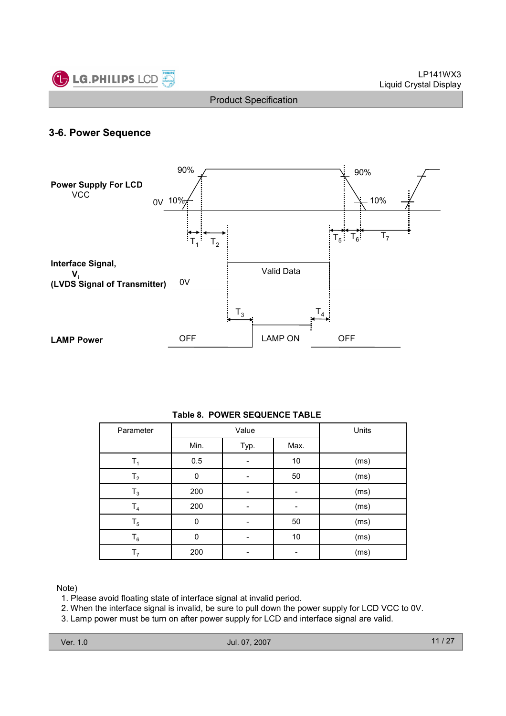

### 3-6. Power Sequence



#### Table 8. POWER SEQUENCE TABLE

| Parameter      |          | Value | Units |      |
|----------------|----------|-------|-------|------|
|                | Min.     | Typ.  | Max.  |      |
| T <sub>1</sub> | 0.5      |       | 10    | (ms) |
| $T_{2}$        | 0        |       | 50    | (ms) |
| $T_3$          | 200      |       |       | (ms) |
| T <sub>4</sub> | 200      |       |       | (ms) |
| $T_5$          | $\Omega$ |       | 50    | (ms) |
| $T_6$          | O        |       | 10    | (ms) |
| T <sub>7</sub> | 200      |       |       | (ms) |

Note)

1. Please avoid floating state of interface signal at invalid period.

2. When the interface signal is invalid, be sure to pull down the power supply for LCD VCC to 0V.

3. Lamp power must be turn on after power supply for LCD and interface signal are valid.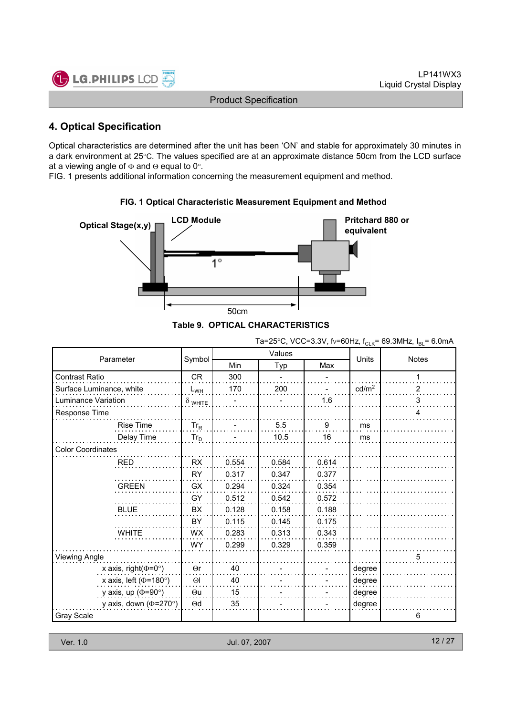

### 4. Optical Specification

Optical characteristics are determined after the unit has been 'ON' and stable for approximately 30 minutes in a dark environment at 25°C. The values specified are at an approximate distance 50cm from the LCD surface at a viewing angle of  $\Phi$  and  $\Theta$  equal to 0°.

FIG. 1 presents additional information concerning the measurement equipment and method.



# FIG. 1 Optical Characteristic Measurement Equipment and Method

|  |  | Table 9.  OPTICAL CHARACTERISTICS |
|--|--|-----------------------------------|
|--|--|-----------------------------------|

Ta=25°C, VCC=3.3V, fv=60Hz, f<sub>CLK</sub>= 69.3MHz,  $I_{BL}$ = 6.0mA

| Parameter                    |                |       | Values |       | Units             | <b>Notes</b> |
|------------------------------|----------------|-------|--------|-------|-------------------|--------------|
|                              | Symbol         | Min   | Typ    | Max   |                   |              |
| Contrast Ratio               | <b>CR</b>      | 300   |        |       |                   |              |
| Surface Luminance, white     | $L_{WH}$       | 170   | 200    |       | cd/m <sup>2</sup> | 2            |
| Luminance Variation          | $\delta$ white |       |        | 1.6   |                   | 3            |
| Response Time                |                |       |        |       |                   | 4            |
| Rise Time                    | $Tr_R$         |       | 5.5    | 9     | ms                |              |
| Delay Time                   | $Tr_D$         |       | 10.5   | 16    | ms                |              |
| <b>Color Coordinates</b>     |                |       |        |       |                   |              |
| <b>RED</b>                   | <b>RX</b>      | 0.554 | 0.584  | 0.614 |                   |              |
|                              | <b>RY</b>      | 0.317 | 0.347  | 0.377 |                   |              |
| <b>GREEN</b>                 | <b>GX</b>      | 0.294 | 0.324  | 0.354 |                   |              |
|                              | GY             | 0.512 | 0.542  | 0.572 |                   |              |
| <b>BLUE</b>                  | <b>BX</b>      | 0.128 | 0.158  | 0.188 |                   |              |
|                              | BY             | 0.115 | 0.145  | 0.175 |                   |              |
| <b>WHITE</b>                 | <b>WX</b>      | 0.283 | 0.313  | 0.343 |                   |              |
|                              | <b>WY</b>      | 0.299 | 0.329  | 0.359 |                   |              |
| <b>Viewing Angle</b>         |                |       |        |       |                   | 5            |
| x axis, right( $\Phi$ =0°)   | $\Theta$ r     | 40    |        |       | degree            |              |
| x axis, left ( $\Phi$ =180°) | $\Theta$       | 40    |        |       | degree            |              |
| y axis, up ( $\Phi$ =90°)    | $\Theta$ u     | 15    |        |       | degree            |              |
| y axis, down ( $\Phi$ =270°) | $\Theta$ d     | 35    |        |       | degree            |              |
| Gray Scale                   |                |       |        |       |                   | 6            |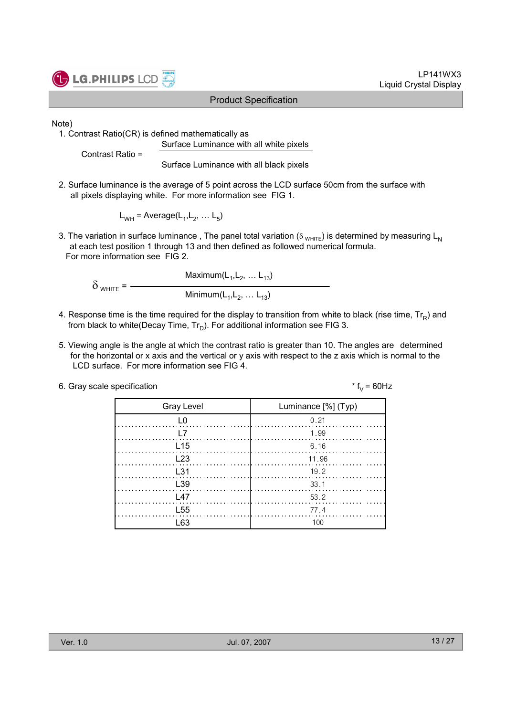



Note)

1. Contrast Ratio(CR) is defined mathematically as Surface Luminance with all white pixels

Contrast Ratio =

Surface Luminance with all black pixels

2. Surface luminance is the average of 5 point across the LCD surface 50cm from the surface with all pixels displaying white. For more information see FIG 1.

 $L_{WH}$  = Average( $L_1, L_2, ... L_5$ )

3. The variation in surface luminance, The panel total variation ( $\delta_{WHTE}$ ) is determined by measuring L<sub>N</sub> at each test position 1 through 13 and then defined as followed numerical formula. For more information see FIG 2.

Maximum $(\mathsf{L}_1, \mathsf{L}_2, \ldots \mathsf{L}_{13})$  $\delta$  white =  $-$ Minimum $(\mathsf{L}_1, \mathsf{L}_2, \ldots \mathsf{L}_{13})$ 

- 4. Response time is the time required for the display to transition from white to black (rise time,  $\mathsf{Tr}_{\mathsf{R}}$ ) and from black to white(Decay Time, Tr $_{\textrm{\scriptsize D}}$ ). For additional information see FIG 3.
- 5. Viewing angle is the angle at which the contrast ratio is greater than 10. The angles are determined for the horizontal or x axis and the vertical or y axis with respect to the z axis which is normal to the LCD surface. For more information see FIG 4.

\*  $f_v = 60$ Hz

| <b>Gray Level</b> | Luminance [%] (Typ)                                         |
|-------------------|-------------------------------------------------------------|
|                   | 0.21                                                        |
|                   | 1.99                                                        |
| L <sub>15</sub>   |                                                             |
| <b>123</b>        | 11.96                                                       |
| L31               | 19.2                                                        |
| L <sub>39</sub>   | $\begin{array}{c} \begin{array}{c} \end{array} \end{array}$ |
| l 47              | 53.2                                                        |
| L <sub>55</sub>   | 77.4                                                        |
|                   |                                                             |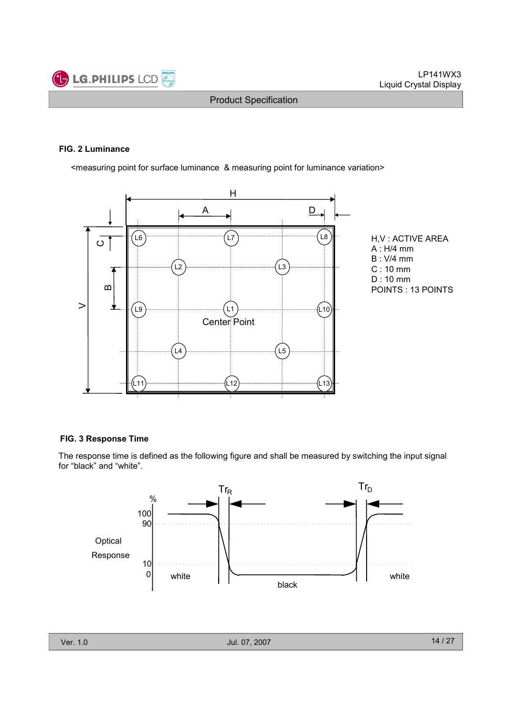

#### FIG. 2 Luminance

<measuring point for surface luminance & measuring point for luminance variation>



H,V : ACTIVE AREA A : H/4 mm B : V/4 mm C : 10 mm D : 10 mm POINTS : 13 POINTS

#### FIG. 3 Response Time

The response time is defined as the following figure and shall be measured by switching the input signal for "black" and "white".

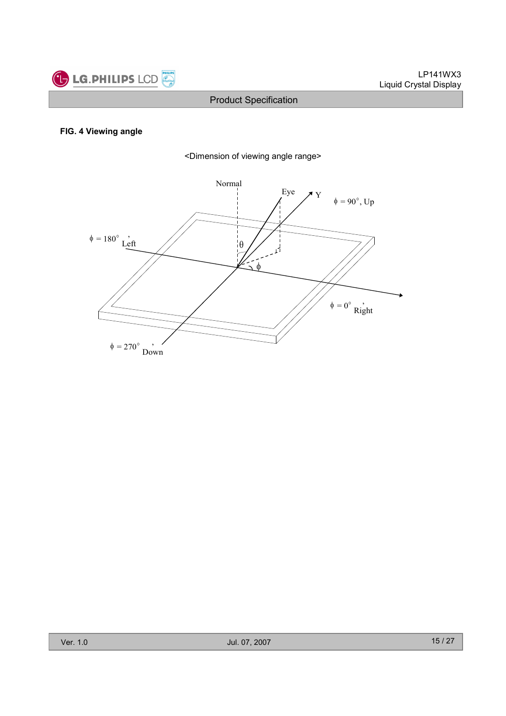

#### FIG. 4 Viewing angle



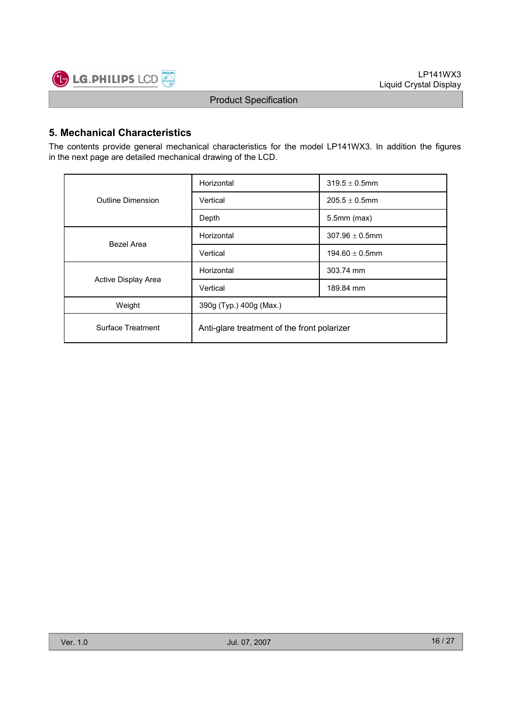

### 5. Mechanical Characteristics

The contents provide general mechanical characteristics for the model LP141WX3. In addition the figures in the next page are detailed mechanical drawing of the LCD.

|                     | Horizontal                                  | $319.5 \pm 0.5$ mm  |  |  |  |
|---------------------|---------------------------------------------|---------------------|--|--|--|
| Outline Dimension   | Vertical                                    | $205.5 \pm 0.5$ mm  |  |  |  |
|                     | Depth                                       | $5.5$ mm $(max)$    |  |  |  |
| Bezel Area          | Horizontal                                  | $307.96 \pm 0.5$ mm |  |  |  |
|                     | Vertical                                    | $194.60 \pm 0.5$ mm |  |  |  |
|                     | Horizontal                                  | 303.74 mm           |  |  |  |
| Active Display Area | Vertical                                    | 189.84 mm           |  |  |  |
| Weight              | 390g (Typ.) 400g (Max.)                     |                     |  |  |  |
| Surface Treatment   | Anti-glare treatment of the front polarizer |                     |  |  |  |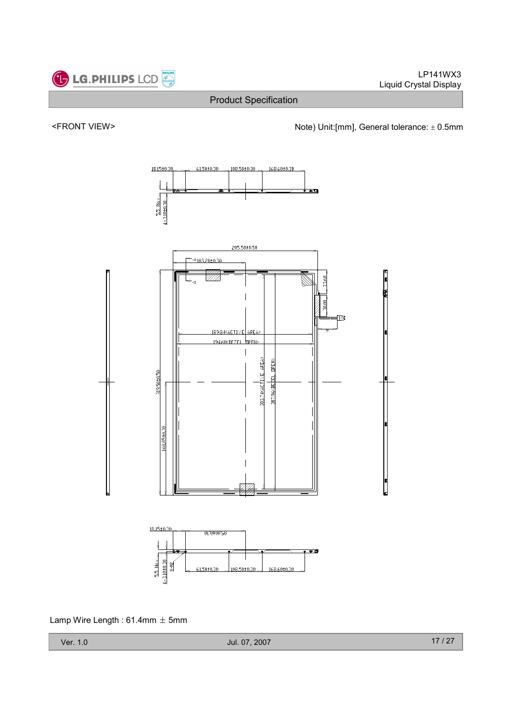

Lamp Wire Length:  $61.4$ mm  $\pm$  5mm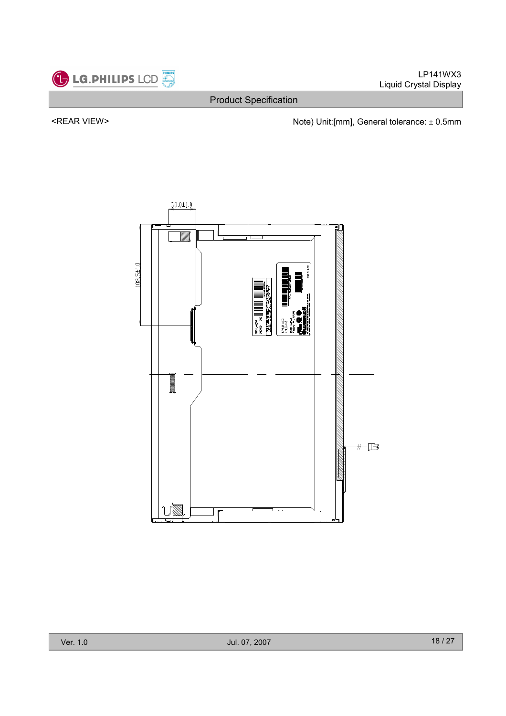

Product Specification

<REAR VIEW> Note) Unit:[mm], General tolerance: ± 0.5mm

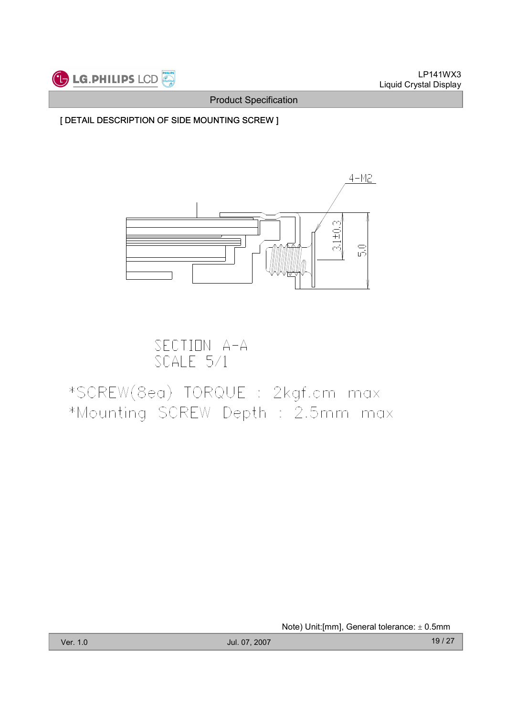

[ DETAIL DESCRIPTION OF SIDE MOUNTING SCREW ]



SECTION A-A<br>SCALE 5/1

# \*SCREW(8ea) TORQUE : 2kgf.cm max \*Mounting SCREW Depth : 2.5mm max

Note) Unit:[mm], General tolerance: ± 0.5mm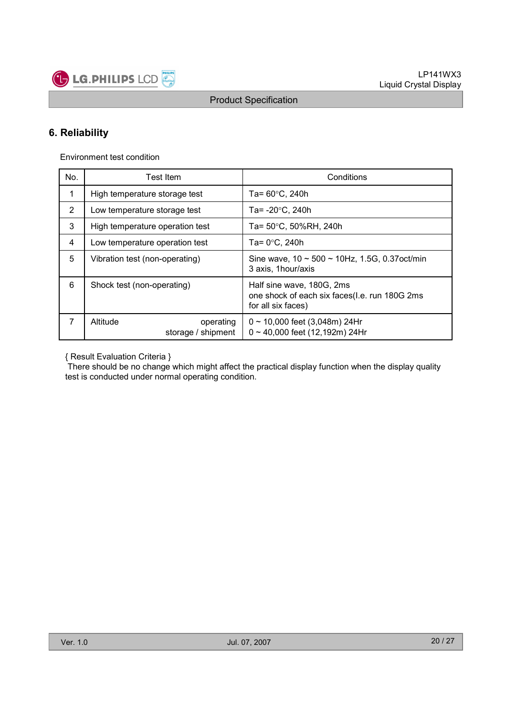

### 6. Reliability

Environment test condition

| No. | <b>Test Item</b>                            | Conditions                                                                                       |
|-----|---------------------------------------------|--------------------------------------------------------------------------------------------------|
| 1   | High temperature storage test               | Ta= $60^{\circ}$ C, 240h                                                                         |
| 2   | Low temperature storage test                | Ta= $-20^{\circ}$ C, 240h                                                                        |
| 3   | High temperature operation test             | Ta= 50°C, 50%RH, 240h                                                                            |
| 4   | Low temperature operation test              | Ta= $0^{\circ}$ C, 240h                                                                          |
| 5   | Vibration test (non-operating)              | Sine wave, $10 \sim 500 \sim 10$ Hz, 1.5G, 0.37 oct/min<br>3 axis, 1 hour/axis                   |
| 6   | Shock test (non-operating)                  | Half sine wave, 180G, 2ms<br>one shock of each six faces(I.e. run 180G 2ms<br>for all six faces) |
| 7   | Altitude<br>operating<br>storage / shipment | $0 \sim 10,000$ feet (3,048m) 24Hr<br>$0 \sim 40,000$ feet (12,192m) 24Hr                        |

{ Result Evaluation Criteria }

There should be no change which might affect the practical display function when the display quality test is conducted under normal operating condition.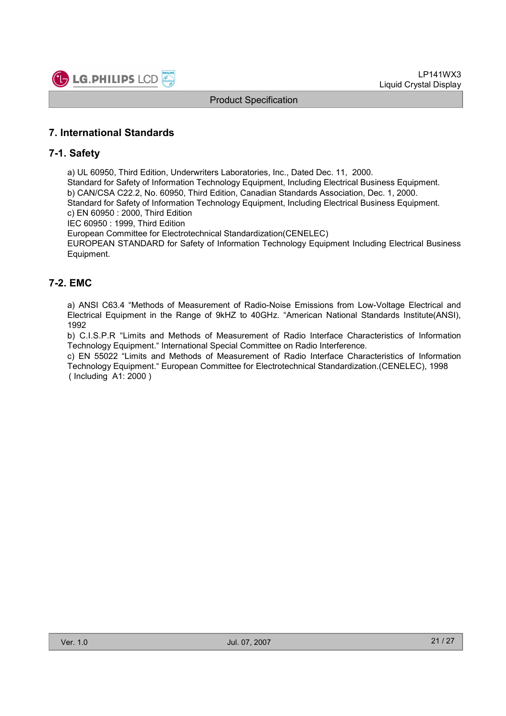

### 7. International Standards

### 7-1. Safety

a) UL 60950, Third Edition, Underwriters Laboratories, Inc., Dated Dec. 11, 2000.

Standard for Safety of Information Technology Equipment, Including Electrical Business Equipment. b) CAN/CSA C22.2, No. 60950, Third Edition, Canadian Standards Association, Dec. 1, 2000. Standard for Safety of Information Technology Equipment, Including Electrical Business Equipment.

c) EN 60950 : 2000, Third Edition

IEC 60950 : 1999, Third Edition

European Committee for Electrotechnical Standardization(CENELEC)

EUROPEAN STANDARD for Safety of Information Technology Equipment Including Electrical Business Equipment.

### 7-2. EMC

a) ANSI C63.4 "Methods of Measurement of Radio-Noise Emissions from Low-Voltage Electrical and Electrical Equipment in the Range of 9kHZ to 40GHz. "American National Standards Institute(ANSI), 1992

b) C.I.S.P.R "Limits and Methods of Measurement of Radio Interface Characteristics of Information Technology Equipment." International Special Committee on Radio Interference.

c) EN 55022 "Limits and Methods of Measurement of Radio Interface Characteristics of Information Technology Equipment." European Committee for Electrotechnical Standardization.(CENELEC), 1998 ( Including A1: 2000 )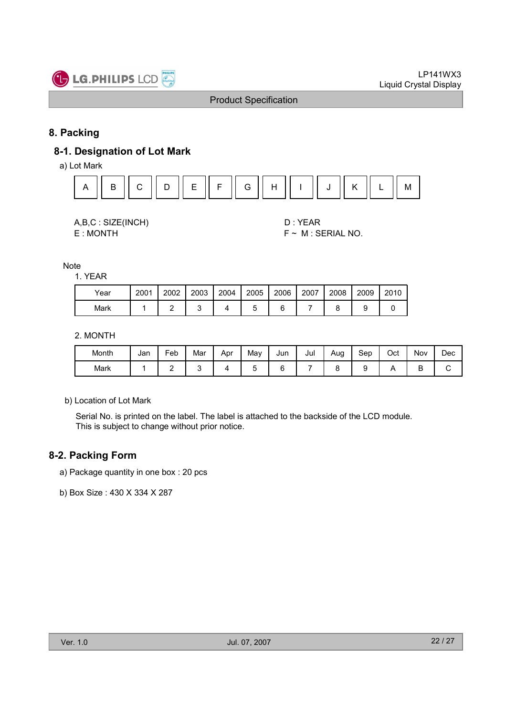

### 8. Packing

### 8-1. Designation of Lot Mark

a) Lot Mark



| A,B,C: SIZE(INCH) |
|-------------------|
| E: MONTH          |

D : YEAR  $F \sim M$  : SERIAL NO.

Note

1. YEAR

| Year | 2001 | 2002 | 2003 | 2004 | 2005 | 2006 | 2007 | 2008 | 2009 | 2010 |
|------|------|------|------|------|------|------|------|------|------|------|
| Mark |      |      |      |      |      |      |      |      |      |      |

#### 2. MONTH

| Month | Jan | Feb | Mar | Apr | Mav | Jun | Jul | Aug | Sep | Oct | Nov | Dec |
|-------|-----|-----|-----|-----|-----|-----|-----|-----|-----|-----|-----|-----|
| Mark  |     | -   |     |     |     |     |     |     |     |     | ◡   | ັ   |

b) Location of Lot Mark

Serial No. is printed on the label. The label is attached to the backside of the LCD module. This is subject to change without prior notice.

### 8-2. Packing Form

- a) Package quantity in one box : 20 pcs
- b) Box Size : 430 X 334 X 287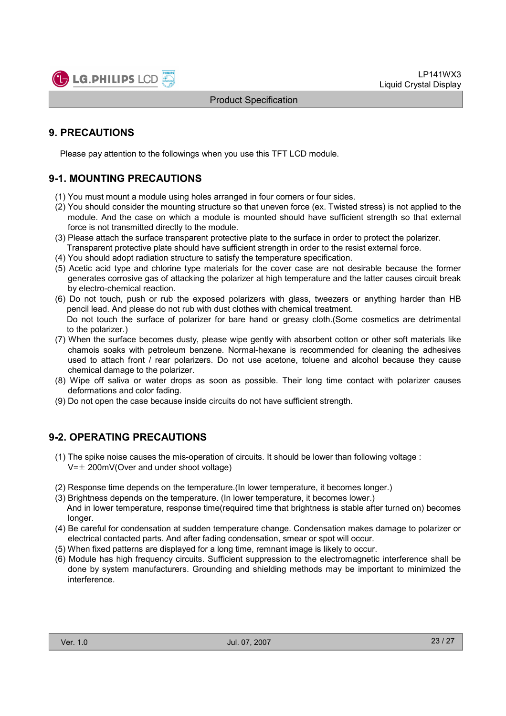

### 9. PRECAUTIONS

Please pay attention to the followings when you use this TFT LCD module.

### 9-1. MOUNTING PRECAUTIONS

- (1) You must mount a module using holes arranged in four corners or four sides.
- (2) You should consider the mounting structure so that uneven force (ex. Twisted stress) is not applied to the module. And the case on which a module is mounted should have sufficient strength so that external force is not transmitted directly to the module.
- (3) Please attach the surface transparent protective plate to the surface in order to protect the polarizer. Transparent protective plate should have sufficient strength in order to the resist external force.
- (4) You should adopt radiation structure to satisfy the temperature specification.
- (5) Acetic acid type and chlorine type materials for the cover case are not desirable because the former generates corrosive gas of attacking the polarizer at high temperature and the latter causes circuit break by electro-chemical reaction.
- (6) Do not touch, push or rub the exposed polarizers with glass, tweezers or anything harder than HB pencil lead. And please do not rub with dust clothes with chemical treatment. Do not touch the surface of polarizer for bare hand or greasy cloth.(Some cosmetics are detrimental to the polarizer.)
- (7) When the surface becomes dusty, please wipe gently with absorbent cotton or other soft materials like chamois soaks with petroleum benzene. Normal-hexane is recommended for cleaning the adhesives used to attach front / rear polarizers. Do not use acetone, toluene and alcohol because they cause chemical damage to the polarizer.
- (8) Wipe off saliva or water drops as soon as possible. Their long time contact with polarizer causes deformations and color fading.
- (9) Do not open the case because inside circuits do not have sufficient strength.

### 9-2. OPERATING PRECAUTIONS

- (1) The spike noise causes the mis-operation of circuits. It should be lower than following voltage :  $V=\pm 200$ mV(Over and under shoot voltage)
- (2) Response time depends on the temperature.(In lower temperature, it becomes longer.)
- (3) Brightness depends on the temperature. (In lower temperature, it becomes lower.) And in lower temperature, response time(required time that brightness is stable after turned on) becomes longer.
- (4) Be careful for condensation at sudden temperature change. Condensation makes damage to polarizer or electrical contacted parts. And after fading condensation, smear or spot will occur.
- (5) When fixed patterns are displayed for a long time, remnant image is likely to occur.
- (6) Module has high frequency circuits. Sufficient suppression to the electromagnetic interference shall be done by system manufacturers. Grounding and shielding methods may be important to minimized the interference.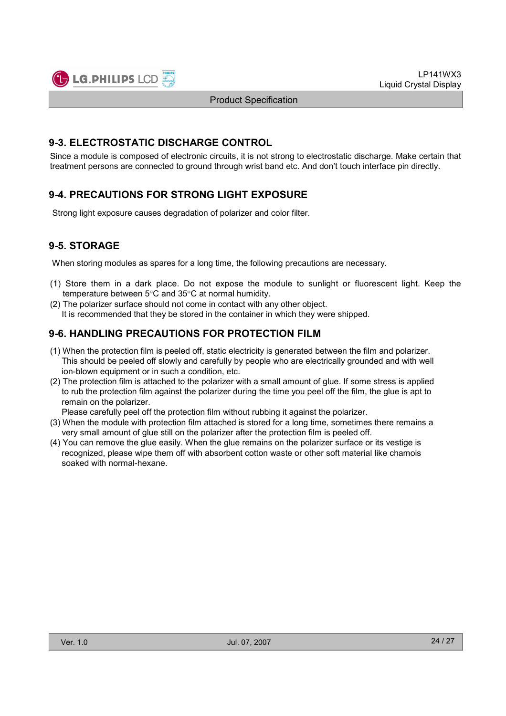

### 9-3. ELECTROSTATIC DISCHARGE CONTROL

Since a module is composed of electronic circuits, it is not strong to electrostatic discharge. Make certain that treatment persons are connected to ground through wrist band etc. And don't touch interface pin directly.

### 9-4. PRECAUTIONS FOR STRONG LIGHT EXPOSURE

Strong light exposure causes degradation of polarizer and color filter.

### 9-5. STORAGE

When storing modules as spares for a long time, the following precautions are necessary.

- (1) Store them in a dark place. Do not expose the module to sunlight or fluorescent light. Keep the temperature between 5°C and 35°C at normal humidity.
- (2) The polarizer surface should not come in contact with any other object. It is recommended that they be stored in the container in which they were shipped.

### 9-6. HANDLING PRECAUTIONS FOR PROTECTION FILM

- (1) When the protection film is peeled off, static electricity is generated between the film and polarizer. This should be peeled off slowly and carefully by people who are electrically grounded and with well ion-blown equipment or in such a condition, etc.
- (2) The protection film is attached to the polarizer with a small amount of glue. If some stress is applied to rub the protection film against the polarizer during the time you peel off the film, the glue is apt to remain on the polarizer.

Please carefully peel off the protection film without rubbing it against the polarizer.

- (3) When the module with protection film attached is stored for a long time, sometimes there remains a very small amount of glue still on the polarizer after the protection film is peeled off.
- (4) You can remove the glue easily. When the glue remains on the polarizer surface or its vestige is recognized, please wipe them off with absorbent cotton waste or other soft material like chamois soaked with normal-hexane.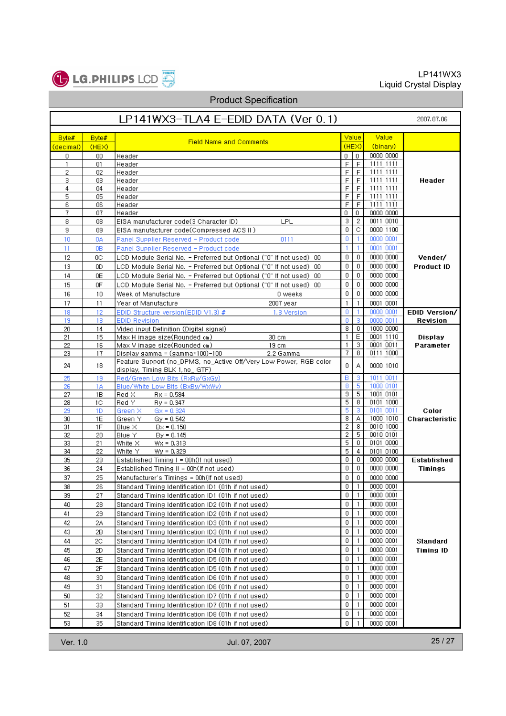

# Product Specification

| LP141WX3-TLA4 E-EDID DATA (Ver 0.1)                                                                                                  |                        |  |  |  |  |  |  |  |  |  |
|--------------------------------------------------------------------------------------------------------------------------------------|------------------------|--|--|--|--|--|--|--|--|--|
| Value<br>Value<br>Byte#<br>Byte#                                                                                                     |                        |  |  |  |  |  |  |  |  |  |
| <b>Field Name and Comments</b><br>(HEX)<br>(binary)<br>(HEX)<br>(decimal)                                                            |                        |  |  |  |  |  |  |  |  |  |
| 0000 0000<br>$\mathbf{0}$<br>0<br>00<br>Header<br>0 I                                                                                |                        |  |  |  |  |  |  |  |  |  |
| 1111 1111<br>F<br>F<br>$\mathbf{1}$<br>01<br>Header                                                                                  |                        |  |  |  |  |  |  |  |  |  |
| 1111 1111<br>2<br>F<br>F<br>02<br>Header                                                                                             |                        |  |  |  |  |  |  |  |  |  |
| F<br>F<br>1111 1111<br>3<br>03<br>Header<br>F<br>F<br>1111 1111<br>4<br>04<br>Header                                                 | Header                 |  |  |  |  |  |  |  |  |  |
| 5<br>F<br>F<br>1111 1111<br>05<br>Header                                                                                             |                        |  |  |  |  |  |  |  |  |  |
| 1111 1111<br>F<br>6<br>F<br>06<br>Header                                                                                             |                        |  |  |  |  |  |  |  |  |  |
| 7<br>0<br>0<br>0000 0000<br>07<br>Header                                                                                             |                        |  |  |  |  |  |  |  |  |  |
| 3.<br>0011 0010<br>2<br>8<br>08<br>EISA manufacturer code(3 Character ID).<br>LPL                                                    |                        |  |  |  |  |  |  |  |  |  |
| 0<br>с<br>0000 1100<br>9.<br>09<br>EISA manufacturer code(Compressed ACS II)                                                         |                        |  |  |  |  |  |  |  |  |  |
| 0<br>0000 0001<br>10<br>$\mathbf{1}$<br>0A<br>Panel Supplier Reserved - Product code<br>0111                                         |                        |  |  |  |  |  |  |  |  |  |
| 0001 0001<br>11<br>0B<br>Panel Supplier Reserved - Product code<br>1.<br>-1                                                          |                        |  |  |  |  |  |  |  |  |  |
| 0000 0000<br>12<br>0<br>0<br>0C.<br>LCD Module Serial No. - Preferred but Optional ("0" If not used)  00                             | Vender/                |  |  |  |  |  |  |  |  |  |
| $\mathbf 0$<br>0000 0000<br>0<br>13<br>OD.<br>LCD Module Serial No. - Preferred but Optional ("0" If not used) 00                    | <b>Product ID</b>      |  |  |  |  |  |  |  |  |  |
| 0<br>$\mathbf 0$<br>0000 0000<br>14<br>0E<br>LCD Module Serial No. - Preferred but Optional ("0" If not used) 00                     |                        |  |  |  |  |  |  |  |  |  |
| 15<br>0<br>0<br>0000 0000<br>0F<br>LCD Module Serial No. - Preferred but Optional ("0" If not used) 00                               |                        |  |  |  |  |  |  |  |  |  |
| 0<br>0000 0000<br>16<br>0<br>10<br>Week of Manufacture<br>0 weeks                                                                    |                        |  |  |  |  |  |  |  |  |  |
| 17<br>0001 0001<br>11<br>Year of Manufacture<br>2007 year<br>$\mathbf{1}$<br>1                                                       |                        |  |  |  |  |  |  |  |  |  |
| 0000 0001<br>0<br>18<br>12<br>EDID Structure version(EDID V1.3) #<br>1.3 Version<br>-1                                               | EDID Version/          |  |  |  |  |  |  |  |  |  |
| 3<br>19<br><b>EDID Revision</b><br>0<br>0000 0011<br>13<br>8<br>$\mathbf{0}$<br>1000 0000<br>Video input Definition (Digital signal) | Revision               |  |  |  |  |  |  |  |  |  |
| 20<br>14<br>$\mathbf{1}$<br>Ε<br>0001 1110<br>21<br>15<br>Max H image size(Rounded cm)<br>30 cm                                      | Display                |  |  |  |  |  |  |  |  |  |
| 3<br>0001 0011<br>1<br>22<br>Max V image size(Rounded cm)<br>16<br>19 cm                                                             | Parameter              |  |  |  |  |  |  |  |  |  |
| 7.<br>8<br>0111 1000<br>23<br>17<br>Display gamma = (gamma*100)-100  <br>2.2 Gamma                                                   |                        |  |  |  |  |  |  |  |  |  |
| Feature Support (no_DPMS, no_Active Off/Very Low Power, RGB color<br>0<br>24<br>А<br>0000 1010<br>18                                 |                        |  |  |  |  |  |  |  |  |  |
| display, Timing BLK 1,no_ GTF).                                                                                                      |                        |  |  |  |  |  |  |  |  |  |
| 1011 0011<br>в<br>25<br>Red/Green Low Bits (RxRy/GxGy)<br>3<br>19                                                                    |                        |  |  |  |  |  |  |  |  |  |
| 5<br>8<br>1000 0101<br>26<br>Blue/White Low Bits (BxBy/WxWy)<br>1Α<br>9<br>5<br>1001 0101                                            |                        |  |  |  |  |  |  |  |  |  |
| 27<br>1B<br>Red X<br>$Rx = 0.584$<br>5<br>0101 1000<br>8<br>Red Y I<br>28<br>10<br>$Py = 0.347$                                      |                        |  |  |  |  |  |  |  |  |  |
| 5<br>з<br>0101 0011<br>29<br>1D<br>Green XI<br>$Gx = 0.324$                                                                          | Color                  |  |  |  |  |  |  |  |  |  |
| 8<br>1000 1010<br>А<br>30<br>1E<br>Green Y<br>$Gy = 0.542$                                                                           | Characteristic         |  |  |  |  |  |  |  |  |  |
| 2<br>0010 1000<br>8<br>31<br>1F<br>Blue X<br>$Bx = 0.158$                                                                            |                        |  |  |  |  |  |  |  |  |  |
| 2<br>5<br>0010 0101<br>32<br>Blue Y<br>20<br>$By = 0.145$                                                                            |                        |  |  |  |  |  |  |  |  |  |
| 5<br>0<br>0101 0000<br>21<br>White X<br>33<br>$Wx = 0.313$                                                                           |                        |  |  |  |  |  |  |  |  |  |
| 5<br>34<br>22<br>White Y<br>0101 0100<br>$Wy = 0.329$<br>4<br>0<br>0000 0000<br>0                                                    |                        |  |  |  |  |  |  |  |  |  |
| 35<br>23.<br>Established Timing I = 00h(If not used)<br>0<br>0<br>0000 0000<br>36<br>24<br>Established Timing II = 00h(If not used)  | Established<br>Timings |  |  |  |  |  |  |  |  |  |
| 37<br>25<br>Manufacturer's Timings = 00h(If not used)<br>0<br>0000 0000<br>0                                                         |                        |  |  |  |  |  |  |  |  |  |
| 0000 0001<br>0<br>38<br>26<br>Standard Timing Identification ID1 (01h if not used)<br>1                                              |                        |  |  |  |  |  |  |  |  |  |
| 0000 0001<br>0<br>27<br>Standard Timing Identification ID1 (01h if not used)<br>$\mathbf{1}$<br>39                                   |                        |  |  |  |  |  |  |  |  |  |
| 0<br>$\mathbf{1}$<br>0000 0001<br>40<br>28<br>Standard Timing Identification ID2 (01h if not used)                                   |                        |  |  |  |  |  |  |  |  |  |
| 0000 0001<br>0<br>41<br>29<br>Standard Timing Identification ID2 (01h if not used)<br>$\mathbf{1}$                                   |                        |  |  |  |  |  |  |  |  |  |
| 0<br>0000 0001<br>42<br>2A<br>$\mathbf{1}$<br>Standard Timing Identification ID3 (01h if not used)                                   |                        |  |  |  |  |  |  |  |  |  |
| $\mathbf{1}$<br>0000 0001<br>0<br>43<br>2В<br>Standard Timing Identification ID3 (01h if not used)                                   |                        |  |  |  |  |  |  |  |  |  |
| 0<br>0000 0001<br>$\mathbf{1}$<br>44<br>2C<br>Standard Timing Identification ID4 (01h if not used)                                   | Standard               |  |  |  |  |  |  |  |  |  |
| 0<br>0000 0001<br>$\mathbf{1}$<br>45<br>2D<br>Standard Timing Identification ID4 (01h if not used)                                   | Timing ID              |  |  |  |  |  |  |  |  |  |
| 0<br>0000 0001<br>46<br>2E<br>$\mathbf{1}$<br>Standard Timing Identification ID5 (01h if not used)                                   |                        |  |  |  |  |  |  |  |  |  |
| 0000 0001<br>47<br>2F<br>0<br>$\mathbf{1}$<br>Standard Timing Identification ID5 (01h if not used)                                   |                        |  |  |  |  |  |  |  |  |  |
| 0000 0001<br>0<br>$\mathbf{1}$<br>48<br>30<br>Standard Timing Identification ID6 (01h if not used)                                   |                        |  |  |  |  |  |  |  |  |  |
| 0000 0001<br>0<br>49<br>31<br>$\mathbf{1}$<br>Standard Timing Identification ID6 (01h if not used)                                   |                        |  |  |  |  |  |  |  |  |  |
| 0<br>0000 0001<br>50<br>32<br>$\mathbf{1}$<br>Standard Timing Identification ID7 (01h if not used)                                   |                        |  |  |  |  |  |  |  |  |  |
| 0000 0001<br>51<br>0<br>33<br>Standard Timing Identification ID7 (01h if not used)<br>$\mathbf{1}$                                   |                        |  |  |  |  |  |  |  |  |  |
| 0000 0001<br>0<br>52<br>34<br>$\overline{1}$<br>Standard Timing Identification ID8 (01h if not used)                                 |                        |  |  |  |  |  |  |  |  |  |
| 53<br>35<br>0<br>0000 0001<br>Standard Timing Identification ID8 (01h if not used)                                                   |                        |  |  |  |  |  |  |  |  |  |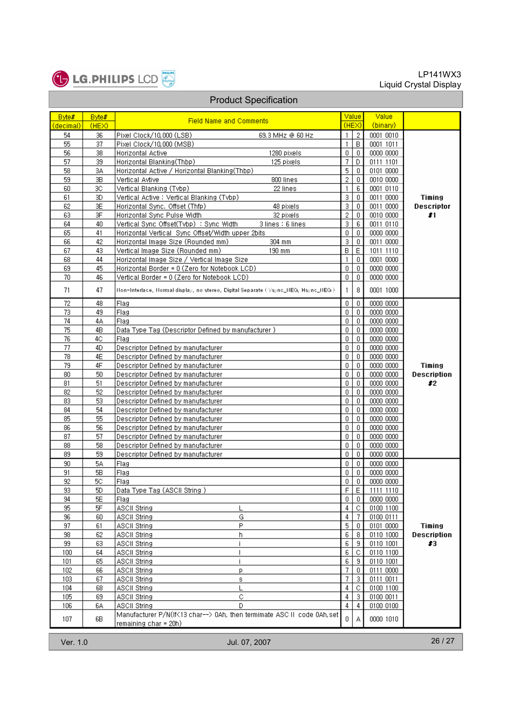

| <b>Product Specification</b> |           |                                                                                                  |                |                |           |                    |  |  |  |
|------------------------------|-----------|--------------------------------------------------------------------------------------------------|----------------|----------------|-----------|--------------------|--|--|--|
| Byte#                        | Byte#     |                                                                                                  |                | Value          | Value     |                    |  |  |  |
| (decimal)                    | (HEX)     | <b>Field Name and Comments</b>                                                                   |                | (HEX)          | (binary)  |                    |  |  |  |
| 54                           | 36        | Pixel Clock/10,000 (LSB)<br>69.3 MHz @ 60 Hz                                                     | $\mathbf{1}$   | $\overline{2}$ | 0001 0010 |                    |  |  |  |
| 55                           | 37        | Pixel Clock/10,000 (MSB)                                                                         | 1              | B              | 0001 1011 |                    |  |  |  |
| 56                           | 38        | 1280 pixels<br>Horizontal Active                                                                 | $\mathbf 0$    | $\mathbf{0}$   | 0000 0000 |                    |  |  |  |
| 57                           | 39        | Horizontal Blanking(Thbp)<br>125 pixels                                                          | 7              | D.             | 0111 1101 |                    |  |  |  |
| 58                           | 3A        | Horizontal Active / Horizontal Blanking(Thbp)                                                    | 5              | 0              | 0101 0000 |                    |  |  |  |
| 59                           | 3B        | Vertical Avtive<br>800 lines                                                                     | $\overline{2}$ | 0              | 0010 0000 |                    |  |  |  |
| 60                           | 3C        | Vertical Blanking (Tvbp)<br>22 lines                                                             | $\mathbf{1}$   | 6              | 0001 0110 |                    |  |  |  |
| 61                           | 3D        | Vertical Active : Vertical Blanking (Tvbp)                                                       | 3              | $\mathbf{0}$   | 0011 0000 | Timing             |  |  |  |
| 62                           | 3E        | Horizontal Sync. Offset (Thfp)<br>48 pixels                                                      | 3              | $\mathbf 0$    | 0011 0000 | <b>Descriptor</b>  |  |  |  |
| 63                           | 3F        | Horizontal Sync Pulse Width<br>32 pixels                                                         | $\overline{2}$ | $\mathbf 0$    | 0010 0000 | #1                 |  |  |  |
| 64                           | 40        | Vertical Sync Offset(Tvbp) : Sync Width<br>3 lines : 6 lines                                     | 3              | 6              | 0011 0110 |                    |  |  |  |
| 65                           | 41        | Horizontal Vertical Sync Offset/Width upper 2bits                                                | $\mathbf 0$    | $\mathbf{0}$   | 0000 0000 |                    |  |  |  |
| 66                           | 42        | Horizontal Image Size (Rounded mm)<br>304 mm                                                     | 3              | 0              | 0011 0000 |                    |  |  |  |
| 67                           | 43        | Vertical Image Size (Rounded mm)<br>190 mm                                                       | B.             | Ε              | 1011 1110 |                    |  |  |  |
| 68                           | 44        | Horizontal Image Size / Vertical Image Size                                                      | 1              | 0.             | 0001 0000 |                    |  |  |  |
| 69                           | 45        | Horizontal Border = 0 (Zero for Notebook LCD)                                                    | $\overline{0}$ | 0              | 0000 0000 |                    |  |  |  |
| 70                           | 46        | Vertical Border = 0 (Zero for Notebook LCD)                                                      | $\mathbf 0$    | 0              | 0000 0000 |                    |  |  |  |
| 71                           | 47        | Non-Interlace, Normal display, no stereo, Digital Separate ( Vsync_NEG, Hsync_NEG ).             | 1              | 8              | 0001 1000 |                    |  |  |  |
| 72                           | 48        | Flag                                                                                             | $\overline{0}$ | 0              | 0000 0000 |                    |  |  |  |
| 73                           | 49        | Flag                                                                                             | $\mathbf 0$    | $\mathbf 0$    | 0000 0000 |                    |  |  |  |
| 74                           | 4А        | Flag                                                                                             | $\mathbf{0}$   | $\mathbf{0}$   | 0000 0000 |                    |  |  |  |
| 75                           | 4B        | Data Type Tag (Descriptor Defined by manufacturer)                                               | $\overline{0}$ | $\mathbf 0$    | 0000 0000 |                    |  |  |  |
| 76                           | 4C        | Flag                                                                                             | 0              | 0              | 0000 0000 |                    |  |  |  |
| 77                           | 4D        | Descriptor Defined by manufacturer                                                               | 0              | $\mathbf 0$    | 0000 0000 |                    |  |  |  |
| 78                           | 4E        | Descriptor Defined by manufacturer                                                               | $\overline{0}$ | $\mathbf{0}$   | 0000 0000 |                    |  |  |  |
| 79                           | 4F        | Descriptor Defined by manufacturer                                                               | $\overline{0}$ | $\mathbf{0}$   | 0000 0000 | Timing             |  |  |  |
| 80                           | 50        | Descriptor Defined by manufacturer                                                               | $\overline{0}$ | 0              | 0000 0000 | Description        |  |  |  |
| 81                           | 51        | Descriptor Defined by manufacturer                                                               | 0              | 0              | 0000 0000 | $\boldsymbol{r}$   |  |  |  |
| 82                           | 52        | Descriptor Defined by manufacturer                                                               | $\overline{0}$ | 0              | 0000 0000 |                    |  |  |  |
| 83                           | 53        | Descriptor Defined by manufacturer                                                               | $\overline{0}$ | 0              | 0000 0000 |                    |  |  |  |
| 84                           | 54        | Descriptor Defined by manufacturer                                                               | $\mathbf 0$    | 0              | 0000 0000 |                    |  |  |  |
| 85                           | 55        | Descriptor Defined by manufacturer                                                               | 0.             | 0              | 0000 0000 |                    |  |  |  |
| 86                           | 56        | Descriptor Defined by manufacturer                                                               | $\overline{0}$ | 0              | 0000 0000 |                    |  |  |  |
| 87                           | 57        | Descriptor Defined by manufacturer                                                               | 0              | 0              | 0000 0000 |                    |  |  |  |
| 88                           | 58        | Descriptor Defined by manufacturer                                                               | $\mathbf 0$    | $\mathbf 0$    | 0000 0000 |                    |  |  |  |
| 89                           | 59        | Descriptor Defined by manufacturer                                                               | 0              | 0              | 0000 0000 |                    |  |  |  |
| 90                           | <b>5A</b> | Flag                                                                                             | 0              | $\mathbf{0}$   | 0000 0000 |                    |  |  |  |
| 91                           | 5B        | Flag                                                                                             | $\mathbf{0}$   | 0              | 0000 0000 |                    |  |  |  |
| 92                           | 5C        | Flag                                                                                             | 0              | 0              | 0000 0000 |                    |  |  |  |
| 93                           | 5D        | Data Type Tag (ASCII String)                                                                     | F              | E              | 1111 1110 |                    |  |  |  |
| 94                           | 5E        | Flag                                                                                             | $\mathbf{0}$   | 0              | 0000 0000 |                    |  |  |  |
| 95                           | 5F        | <b>ASCII String</b>                                                                              | 4              | C              | 0100 1100 |                    |  |  |  |
| 96                           | 60        | G<br>ASCII String                                                                                | 4              | 7.             | 0100 0111 |                    |  |  |  |
| 97                           | 61        | P.<br><b>ASCII String</b>                                                                        | 5              | 0              | 0101 0000 | <b>Timing</b>      |  |  |  |
| 98                           | 62        | <b>ASCII String</b><br>h                                                                         | 6              | 8              | 0110 1000 | <b>Description</b> |  |  |  |
| 99                           | 63        | <b>ASCII String</b><br>i                                                                         | 6              | 9              | 0110 1001 | #3                 |  |  |  |
| 100                          | 64        | <b>ASCII String</b>                                                                              | 6              | $\mathbb C$    | 0110 1100 |                    |  |  |  |
| 101                          | 65        | i<br>ASCII String                                                                                | $\mathsf{g}$   | $\,9$          | 0110 1001 |                    |  |  |  |
| 102                          | 66        | ASCII String<br>p.                                                                               | $\overline{7}$ | $\mathbf 0$    | 0111 0000 |                    |  |  |  |
| 103                          | 67        | <b>ASCII String</b><br>s                                                                         | 7 <sup>1</sup> | 3              | 0111 0011 |                    |  |  |  |
| 104                          | 68        | ASCII String                                                                                     | 4              | С              | 0100 1100 |                    |  |  |  |
| 105                          | 69        | C<br><b>ASCII String</b>                                                                         | $\overline{4}$ | 3              | 0100 0011 |                    |  |  |  |
| 106                          | 6A        | <b>ASCII String</b><br>D.                                                                        | 4              | 4              | 0100 0100 |                    |  |  |  |
| 107                          | 6B        | Manufacturer P/N(If<13 char--> 0Ah, then termimate ASC II code 0Ah, set<br>remaining char = 20h) | 0              | А              | 0000 1010 |                    |  |  |  |